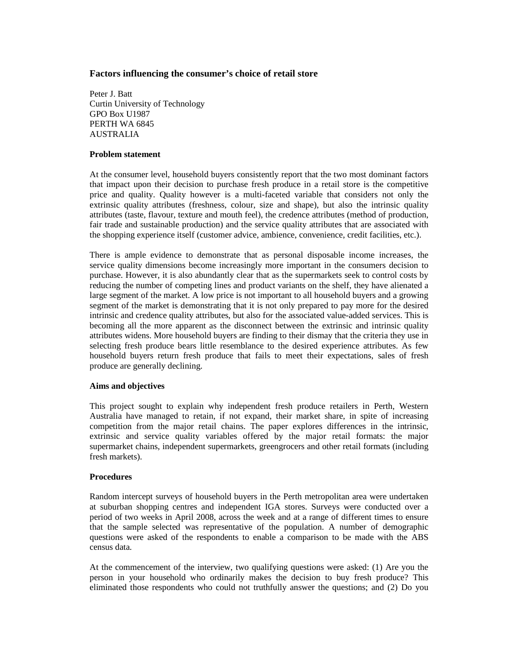## **Factors influencing the consumer's choice of retail store**

Peter J. Batt Curtin University of Technology GPO Box U1987 PERTH WA 6845 AUSTRALIA

#### **Problem statement**

At the consumer level, household buyers consistently report that the two most dominant factors that impact upon their decision to purchase fresh produce in a retail store is the competitive price and quality. Quality however is a multi-faceted variable that considers not only the extrinsic quality attributes (freshness, colour, size and shape), but also the intrinsic quality attributes (taste, flavour, texture and mouth feel), the credence attributes (method of production, fair trade and sustainable production) and the service quality attributes that are associated with the shopping experience itself (customer advice, ambience, convenience, credit facilities, etc.).

There is ample evidence to demonstrate that as personal disposable income increases, the service quality dimensions become increasingly more important in the consumers decision to purchase. However, it is also abundantly clear that as the supermarkets seek to control costs by reducing the number of competing lines and product variants on the shelf, they have alienated a large segment of the market. A low price is not important to all household buyers and a growing segment of the market is demonstrating that it is not only prepared to pay more for the desired intrinsic and credence quality attributes, but also for the associated value-added services. This is becoming all the more apparent as the disconnect between the extrinsic and intrinsic quality attributes widens. More household buyers are finding to their dismay that the criteria they use in selecting fresh produce bears little resemblance to the desired experience attributes. As few household buyers return fresh produce that fails to meet their expectations, sales of fresh produce are generally declining.

## **Aims and objectives**

This project sought to explain why independent fresh produce retailers in Perth, Western Australia have managed to retain, if not expand, their market share, in spite of increasing competition from the major retail chains. The paper explores differences in the intrinsic, extrinsic and service quality variables offered by the major retail formats: the major supermarket chains, independent supermarkets, greengrocers and other retail formats (including fresh markets).

## **Procedures**

Random intercept surveys of household buyers in the Perth metropolitan area were undertaken at suburban shopping centres and independent IGA stores. Surveys were conducted over a period of two weeks in April 2008, across the week and at a range of different times to ensure that the sample selected was representative of the population. A number of demographic questions were asked of the respondents to enable a comparison to be made with the ABS census data.

At the commencement of the interview, two qualifying questions were asked: (1) Are you the person in your household who ordinarily makes the decision to buy fresh produce? This eliminated those respondents who could not truthfully answer the questions; and (2) Do you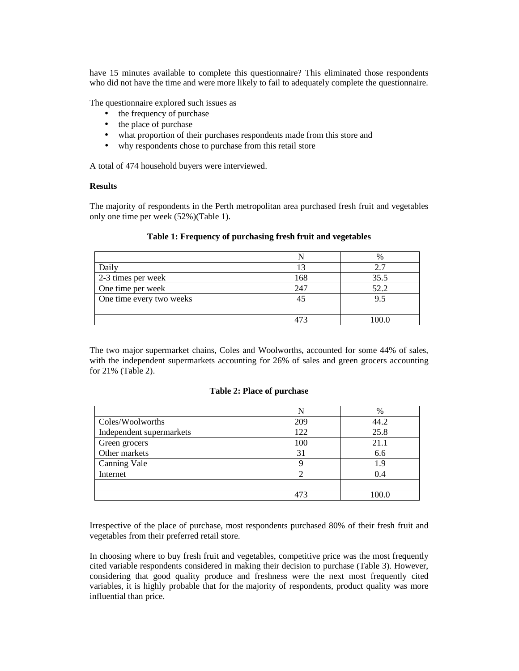have 15 minutes available to complete this questionnaire? This eliminated those respondents who did not have the time and were more likely to fail to adequately complete the questionnaire.

The questionnaire explored such issues as

- the frequency of purchase
- the place of purchase
- what proportion of their purchases respondents made from this store and
- why respondents chose to purchase from this retail store

A total of 474 household buyers were interviewed.

## **Results**

The majority of respondents in the Perth metropolitan area purchased fresh fruit and vegetables only one time per week (52%)(Table 1).

|                          |     | $\frac{0}{0}$ |
|--------------------------|-----|---------------|
| Daily                    |     |               |
| 2-3 times per week       | 168 | 35.5          |
| One time per week        | 247 | 52.2          |
| One time every two weeks |     |               |
|                          |     |               |
|                          |     |               |

#### **Table 1: Frequency of purchasing fresh fruit and vegetables**

The two major supermarket chains, Coles and Woolworths, accounted for some 44% of sales, with the independent supermarkets accounting for 26% of sales and green grocers accounting for 21% (Table 2).

## **Table 2: Place of purchase**

|                          |     | $\%$ |
|--------------------------|-----|------|
| Coles/Woolworths         | 209 | 44.2 |
| Independent supermarkets | 122 | 25.8 |
| Green grocers            | 100 | 21.1 |
| Other markets            | 31  | 6.6  |
| <b>Canning Vale</b>      |     | 1.9  |
| Internet                 |     | 0.4  |
|                          |     |      |
|                          |     |      |

Irrespective of the place of purchase, most respondents purchased 80% of their fresh fruit and vegetables from their preferred retail store.

In choosing where to buy fresh fruit and vegetables, competitive price was the most frequently cited variable respondents considered in making their decision to purchase (Table 3). However, considering that good quality produce and freshness were the next most frequently cited variables, it is highly probable that for the majority of respondents, product quality was more influential than price.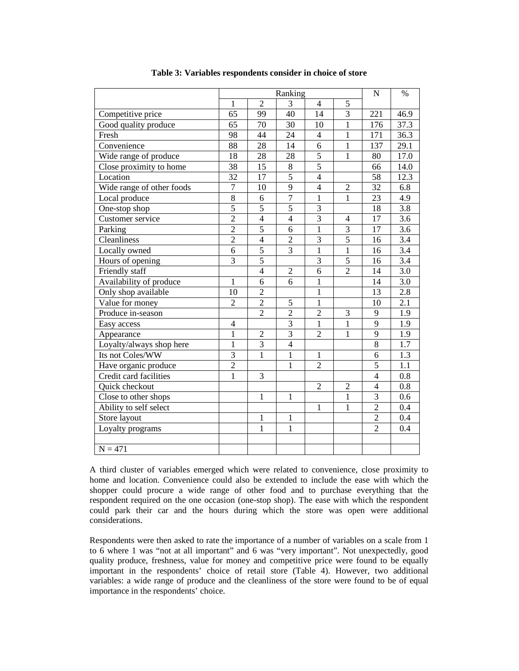|                           | Ranking          |                |                |                | N              | $\%$           |                  |
|---------------------------|------------------|----------------|----------------|----------------|----------------|----------------|------------------|
|                           | 1                | $\mathfrak{D}$ | 3              | $\overline{4}$ | 5              |                |                  |
| Competitive price         | 65               | 99             | 40             | 14             | $\overline{3}$ | 221            | 46.9             |
| Good quality produce      | 65               | 70             | 30             | 10             | $\mathbf{1}$   | 176            | 37.3             |
| Fresh                     | 98               | 44             | 24             | $\overline{4}$ | $\mathbf{1}$   | 171            | 36.3             |
| Convenience               | 88               | 28             | 14             | 6              | $\mathbf 1$    | 137            | 29.1             |
| Wide range of produce     | 18               | 28             | 28             | 5              | $\mathbf{1}$   | 80             | 17.0             |
| Close proximity to home   | 38               | 15             | $8\,$          | 5              |                | 66             | 14.0             |
| Location                  | 32               | 17             | $\overline{5}$ | $\overline{4}$ |                | 58             | 12.3             |
| Wide range of other foods | $\boldsymbol{7}$ | 10             | 9              | $\overline{4}$ | $\overline{2}$ | 32             | 6.8              |
| Local produce             | $\overline{8}$   | 6              | 7              | $\mathbf{1}$   | $\mathbf{1}$   | 23             | $\overline{4.9}$ |
| One-stop shop             | 5                | $\overline{5}$ | 5              | $\overline{3}$ |                | 18             | $\overline{3.8}$ |
| Customer service          | $\overline{2}$   | $\overline{4}$ | $\overline{4}$ | $\overline{3}$ | $\overline{4}$ | 17             | $\overline{3.6}$ |
| Parking                   | $\overline{2}$   | $\overline{5}$ | $\overline{6}$ | $\overline{1}$ | $\overline{3}$ | 17             | $\overline{3.6}$ |
| Cleanliness               | $\overline{2}$   | $\overline{4}$ | $\overline{2}$ | $\overline{3}$ | $\overline{5}$ | 16             | $\overline{3.4}$ |
| Locally owned             | $\overline{6}$   | $\overline{5}$ | $\overline{3}$ | $\overline{1}$ | $\overline{1}$ | 16             | 3.4              |
| Hours of opening          | 3                | $\overline{5}$ |                | 3              | 5              | 16             | 3.4              |
| Friendly staff            |                  | $\overline{4}$ | $\overline{2}$ | 6              | $\overline{2}$ | 14             | 3.0              |
| Availability of produce   | $\mathbf{1}$     | 6              | 6              | $\mathbf{1}$   |                | 14             | 3.0              |
| Only shop available       | 10               | $\overline{c}$ |                | $\mathbf{1}$   |                | 13             | 2.8              |
| Value for money           | $\overline{c}$   | $\overline{2}$ | 5              | $\mathbf{1}$   |                | 10             | 2.1              |
| Produce in-season         |                  | $\overline{2}$ | $\overline{2}$ | $\overline{c}$ | 3              | 9              | 1.9              |
| Easy access               | $\overline{4}$   |                | $\overline{3}$ | $\overline{1}$ | $\mathbf{1}$   | $\overline{9}$ | 1.9              |
| Appearance                | $\mathbf 1$      | $\overline{c}$ | $\overline{3}$ | $\overline{c}$ | $\mathbf 1$    | 9              | 1.9              |
| Loyalty/always shop here  | $\mathbf{1}$     | $\overline{3}$ | $\overline{4}$ |                |                | $8\,$          | 1.7              |
| Its not Coles/WW          | $\overline{3}$   | $\mathbf{1}$   | $\mathbf{1}$   | $\mathbf{1}$   |                | 6              | 1.3              |
| Have organic produce      | $\overline{2}$   |                | $\mathbf{1}$   | $\overline{2}$ |                | $\overline{5}$ | 1.1              |
| Credit card facilities    | $\mathbf{1}$     | 3              |                |                |                | $\overline{4}$ | 0.8              |
| Quick checkout            |                  |                |                | $\overline{2}$ | $\overline{c}$ | $\overline{4}$ | 0.8              |
| Close to other shops      |                  | $\mathbf{1}$   | $\mathbf{1}$   |                | $\overline{1}$ | $\overline{3}$ | 0.6              |
| Ability to self select    |                  |                |                | $\mathbf{1}$   | $\mathbf{1}$   | $\overline{c}$ | 0.4              |
| Store layout              |                  | $\mathbf{1}$   | 1              |                |                | $\overline{c}$ | 0.4              |
| Loyalty programs          |                  | 1              | $\mathbf{1}$   |                |                | $\overline{c}$ | 0.4              |
|                           |                  |                |                |                |                |                |                  |
| $N = 471$                 |                  |                |                |                |                |                |                  |

**Table 3: Variables respondents consider in choice of store** 

A third cluster of variables emerged which were related to convenience, close proximity to home and location. Convenience could also be extended to include the ease with which the shopper could procure a wide range of other food and to purchase everything that the respondent required on the one occasion (one-stop shop). The ease with which the respondent could park their car and the hours during which the store was open were additional considerations.

Respondents were then asked to rate the importance of a number of variables on a scale from 1 to 6 where 1 was "not at all important" and 6 was "very important". Not unexpectedly, good quality produce, freshness, value for money and competitive price were found to be equally important in the respondents' choice of retail store (Table 4). However, two additional variables: a wide range of produce and the cleanliness of the store were found to be of equal importance in the respondents' choice.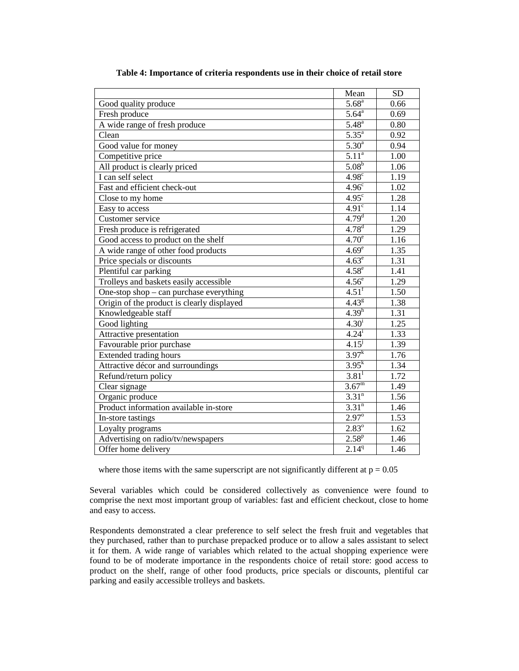|                                            | Mean                | <b>SD</b>         |
|--------------------------------------------|---------------------|-------------------|
| Good quality produce                       | $5.68^{a}$          | 0.66              |
| Fresh produce                              | $5.64^{\circ}$      | 0.69              |
| A wide range of fresh produce              | $5.48^{a}$          | 0.80              |
| Clean                                      | $5.35^{a}$          | 0.92              |
| Good value for money                       | $5.30^{a}$          | 0.94              |
| Competitive price                          | $5.11^{a}$          | $\overline{1.00}$ |
| All product is clearly priced              | $5.08^{b}$          | 1.06              |
| I can self select                          | $4.98^\circ$        | 1.19              |
| Fast and efficient check-out               | 4.96 <sup>c</sup>   | 1.02              |
| Close to my home                           | $4.95^\circ$        | 1.28              |
| Easy to access                             | 4.91 <sup>c</sup>   | 1.14              |
| Customer service                           | 4.79 <sup>d</sup>   | 1.20              |
| Fresh produce is refrigerated              | $4.78^{d}$          | 1.29              |
| Good access to product on the shelf        | 4.70 <sup>e</sup>   | 1.16              |
| A wide range of other food products        | 4.69 <sup>e</sup>   | 1.35              |
| Price specials or discounts                | $4.63^e$            | 1.31              |
| Plentiful car parking                      | $4.58^e$            | 1.41              |
| Trolleys and baskets easily accessible     | 4.56 <sup>e</sup>   | 1.29              |
| One-stop shop – can purchase everything    | $4.51$ <sup>f</sup> | 1.50              |
| Origin of the product is clearly displayed | $4.43^{8}$          | 1.38              |
| Knowledgeable staff                        | 4.39 <sup>h</sup>   | 1.31              |
| Good lighting                              | $4.30^{i}$          | 1.25              |
| Attractive presentation                    | $4.24^{i}$          | 1.33              |
| Favourable prior purchase                  | $4.15^{j}$          | 1.39              |
| <b>Extended trading hours</b>              | $3.97^{k}$          | 1.76              |
| Attractive décor and surroundings          | $3.95^{k}$          | 1.34              |
| Refund/return policy                       | $3.81$ <sup>1</sup> | 1.72              |
| Clear signage                              | $3.67^{\rm m}$      | 1.49              |
| Organic produce                            | 3.31 <sup>n</sup>   | 1.56              |
| Product information available in-store     | 3.31 <sup>n</sup>   | 1.46              |
| In-store tastings                          | $2.97^{\circ}$      | 1.53              |
| Loyalty programs                           | $2.83^{\circ}$      | $\overline{1.62}$ |
| Advertising on radio/tv/newspapers         | $2.58^{p}$          | 1.46              |
| Offer home delivery                        | 2.14 <sup>q</sup>   | 1.46              |

**Table 4: Importance of criteria respondents use in their choice of retail store** 

where those items with the same superscript are not significantly different at  $p = 0.05$ 

Several variables which could be considered collectively as convenience were found to comprise the next most important group of variables: fast and efficient checkout, close to home and easy to access.

Respondents demonstrated a clear preference to self select the fresh fruit and vegetables that they purchased, rather than to purchase prepacked produce or to allow a sales assistant to select it for them. A wide range of variables which related to the actual shopping experience were found to be of moderate importance in the respondents choice of retail store: good access to product on the shelf, range of other food products, price specials or discounts, plentiful car parking and easily accessible trolleys and baskets.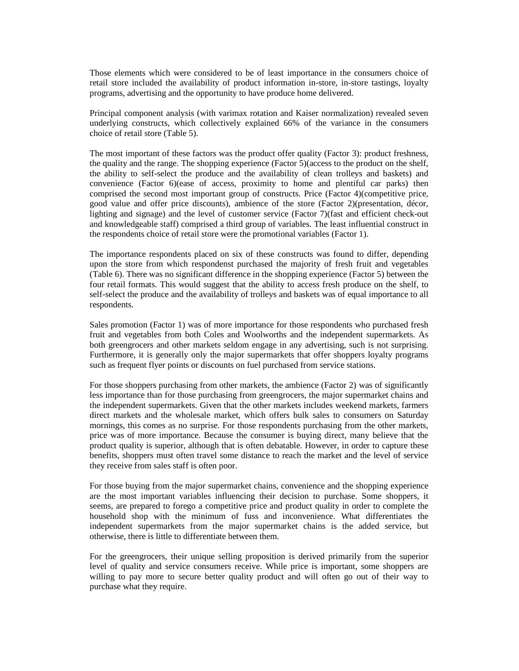Those elements which were considered to be of least importance in the consumers choice of retail store included the availability of product information in-store, in-store tastings, loyalty programs, advertising and the opportunity to have produce home delivered.

Principal component analysis (with varimax rotation and Kaiser normalization) revealed seven underlying constructs, which collectively explained 66% of the variance in the consumers choice of retail store (Table 5).

The most important of these factors was the product offer quality (Factor 3): product freshness, the quality and the range. The shopping experience (Factor 5)(access to the product on the shelf, the ability to self-select the produce and the availability of clean trolleys and baskets) and convenience (Factor 6)(ease of access, proximity to home and plentiful car parks) then comprised the second most important group of constructs. Price (Factor 4)(competitive price, good value and offer price discounts), ambience of the store (Factor 2)(presentation, décor, lighting and signage) and the level of customer service (Factor 7)(fast and efficient check-out and knowledgeable staff) comprised a third group of variables. The least influential construct in the respondents choice of retail store were the promotional variables (Factor 1).

The importance respondents placed on six of these constructs was found to differ, depending upon the store from which respondenst purchased the majority of fresh fruit and vegetables (Table 6). There was no significant difference in the shopping experience (Factor 5) between the four retail formats. This would suggest that the ability to access fresh produce on the shelf, to self-select the produce and the availability of trolleys and baskets was of equal importance to all respondents.

Sales promotion (Factor 1) was of more importance for those respondents who purchased fresh fruit and vegetables from both Coles and Woolworths and the independent supermarkets. As both greengrocers and other markets seldom engage in any advertising, such is not surprising. Furthermore, it is generally only the major supermarkets that offer shoppers loyalty programs such as frequent flyer points or discounts on fuel purchased from service stations.

For those shoppers purchasing from other markets, the ambience (Factor 2) was of significantly less importance than for those purchasing from greengrocers, the major supermarket chains and the independent supermarkets. Given that the other markets includes weekend markets, farmers direct markets and the wholesale market, which offers bulk sales to consumers on Saturday mornings, this comes as no surprise. For those respondents purchasing from the other markets, price was of more importance. Because the consumer is buying direct, many believe that the product quality is superior, although that is often debatable. However, in order to capture these benefits, shoppers must often travel some distance to reach the market and the level of service they receive from sales staff is often poor.

For those buying from the major supermarket chains, convenience and the shopping experience are the most important variables influencing their decision to purchase. Some shoppers, it seems, are prepared to forego a competitive price and product quality in order to complete the household shop with the minimum of fuss and inconvenience. What differentiates the independent supermarkets from the major supermarket chains is the added service, but otherwise, there is little to differentiate between them.

For the greengrocers, their unique selling proposition is derived primarily from the superior level of quality and service consumers receive. While price is important, some shoppers are willing to pay more to secure better quality product and will often go out of their way to purchase what they require.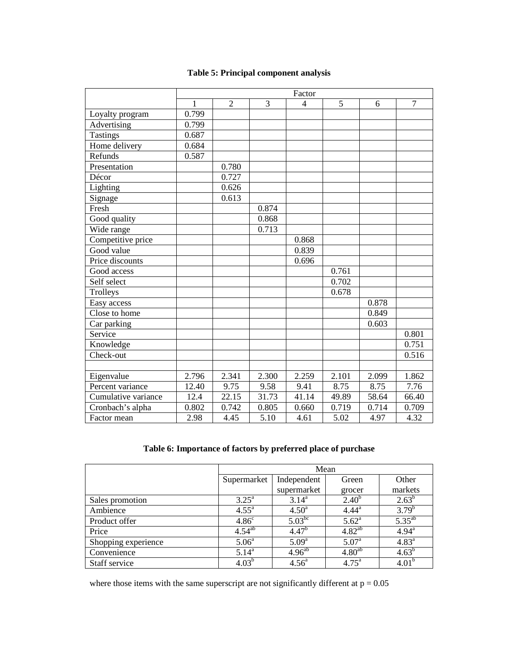|                     | Factor       |                |                |                |       |       |                |
|---------------------|--------------|----------------|----------------|----------------|-------|-------|----------------|
|                     | $\mathbf{1}$ | $\overline{2}$ | $\overline{3}$ | $\overline{4}$ | 5     | 6     | $\overline{7}$ |
| Loyalty program     | 0.799        |                |                |                |       |       |                |
| Advertising         | 0.799        |                |                |                |       |       |                |
| <b>Tastings</b>     | 0.687        |                |                |                |       |       |                |
| Home delivery       | 0.684        |                |                |                |       |       |                |
| Refunds             | 0.587        |                |                |                |       |       |                |
| Presentation        |              | 0.780          |                |                |       |       |                |
| Décor               |              | 0.727          |                |                |       |       |                |
| Lighting            |              | 0.626          |                |                |       |       |                |
| Signage             |              | 0.613          |                |                |       |       |                |
| Fresh               |              |                | 0.874          |                |       |       |                |
| Good quality        |              |                | 0.868          |                |       |       |                |
| Wide range          |              |                | 0.713          |                |       |       |                |
| Competitive price   |              |                |                | 0.868          |       |       |                |
| Good value          |              |                |                | 0.839          |       |       |                |
| Price discounts     |              |                |                | 0.696          |       |       |                |
| Good access         |              |                |                |                | 0.761 |       |                |
| Self select         |              |                |                |                | 0.702 |       |                |
| Trolleys            |              |                |                |                | 0.678 |       |                |
| Easy access         |              |                |                |                |       | 0.878 |                |
| Close to home       |              |                |                |                |       | 0.849 |                |
| Car parking         |              |                |                |                |       | 0.603 |                |
| Service             |              |                |                |                |       |       | 0.801          |
| Knowledge           |              |                |                |                |       |       | 0.751          |
| Check-out           |              |                |                |                |       |       | 0.516          |
|                     |              |                |                |                |       |       |                |
| Eigenvalue          | 2.796        | 2.341          | 2.300          | 2.259          | 2.101 | 2.099 | 1.862          |
| Percent variance    | 12.40        | 9.75           | 9.58           | 9.41           | 8.75  | 8.75  | 7.76           |
| Cumulative variance | 12.4         | 22.15          | 31.73          | 41.14          | 49.89 | 58.64 | 66.40          |
| Cronbach's alpha    | 0.802        | 0.742          | 0.805          | 0.660          | 0.719 | 0.714 | 0.709          |
| Factor mean         | 2.98         | 4.45           | 5.10           | 4.61           | 5.02  | 4.97  | 4.32           |

# **Table 5: Principal component analysis**

# **Table 6: Importance of factors by preferred place of purchase**

|                     | Mean                   |                |                |                     |  |  |
|---------------------|------------------------|----------------|----------------|---------------------|--|--|
|                     | Supermarket            | Independent    | Green          | Other               |  |  |
|                     |                        | supermarket    | grocer         | markets             |  |  |
| Sales promotion     | $3.25^{\circ}$         | $3.14^{\rm a}$ | $2.40^{b}$     | $2.63^b$            |  |  |
| Ambience            | 4.55 <sup>a</sup>      | $4.50^{\rm a}$ | $4.44^a$       | $3.79^{b}$          |  |  |
| Product offer       | 4.86 <sup>c</sup>      | $5.03^{bc}$    | $5.62^{\rm a}$ | $5.35^{ab}$         |  |  |
| Price               | $\overline{4.54}^{ab}$ | $4.47^{b}$     | $4.82^{ab}$    | $4.94^{\mathrm{a}}$ |  |  |
| Shopping experience | 5.06 <sup>a</sup>      | $5.09^{\rm a}$ | $5.07^{\rm a}$ | $4.83^{a}$          |  |  |
| Convenience         | $5.14^{a}$             | $4.96^{ab}$    | $4.80^{ab}$    | $4.63^{b}$          |  |  |
| Staff service       | $4.03^{b}$             | $4.56^{\circ}$ | $4.75^{\circ}$ | 4.01 <sup>b</sup>   |  |  |

where those items with the same superscript are not significantly different at  $p = 0.05$